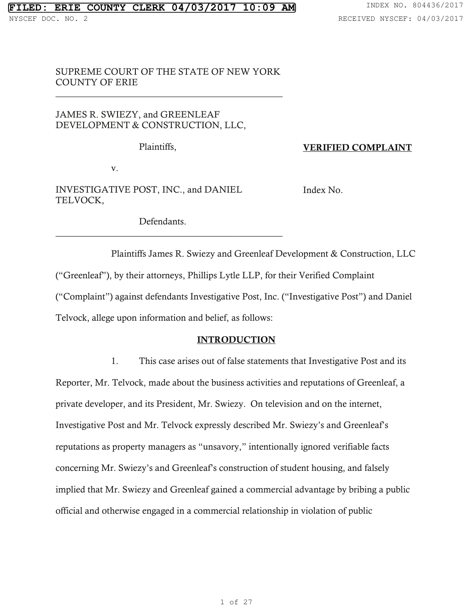## SUPREME COURT OF THE STATE OF NEW YORK COUNTY OF ERIE

\_\_\_\_\_\_\_\_\_\_\_\_\_\_\_\_\_\_\_\_\_\_\_\_\_\_\_\_\_\_\_\_\_\_\_\_\_\_\_\_\_\_\_\_\_\_\_\_\_

# JAMES R. SWIEZY, and GREENLEAF DEVELOPMENT & CONSTRUCTION, LLC,

Plaintiffs,

VERIFIED COMPLAINT

v.

INVESTIGATIVE POST, INC., and DANIEL TELVOCK,

Index No.

Defendants.

\_\_\_\_\_\_\_\_\_\_\_\_\_\_\_\_\_\_\_\_\_\_\_\_\_\_\_\_\_\_\_\_\_\_\_\_\_\_\_\_\_\_\_\_\_\_\_\_\_

 Plaintiffs James R. Swiezy and Greenleaf Development & Construction, LLC ("Greenleaf"), by their attorneys, Phillips Lytle LLP, for their Verified Complaint ("Complaint") against defendants Investigative Post, Inc. ("Investigative Post") and Daniel Telvock, allege upon information and belief, as follows:

### INTRODUCTION

1. This case arises out of false statements that Investigative Post and its Reporter, Mr. Telvock, made about the business activities and reputations of Greenleaf, a private developer, and its President, Mr. Swiezy. On television and on the internet, Investigative Post and Mr. Telvock expressly described Mr. Swiezy's and Greenleaf's reputations as property managers as "unsavory," intentionally ignored verifiable facts concerning Mr. Swiezy's and Greenleaf's construction of student housing, and falsely implied that Mr. Swiezy and Greenleaf gained a commercial advantage by bribing a public official and otherwise engaged in a commercial relationship in violation of public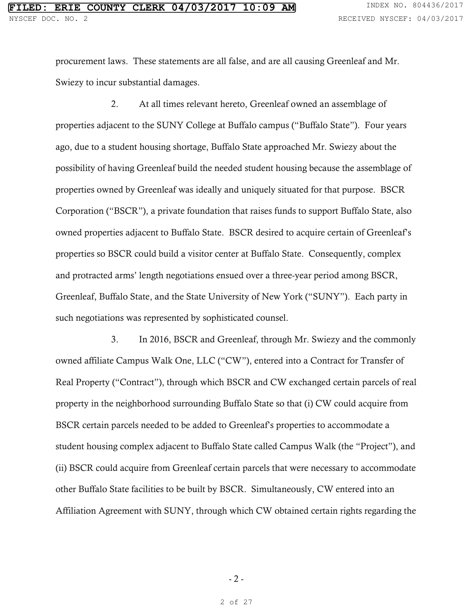procurement laws. These statements are all false, and are all causing Greenleaf and Mr. Swiezy to incur substantial damages.

2. At all times relevant hereto, Greenleaf owned an assemblage of properties adjacent to the SUNY College at Buffalo campus ("Buffalo State"). Four years ago, due to a student housing shortage, Buffalo State approached Mr. Swiezy about the possibility of having Greenleaf build the needed student housing because the assemblage of properties owned by Greenleaf was ideally and uniquely situated for that purpose. BSCR Corporation ("BSCR"), a private foundation that raises funds to support Buffalo State, also owned properties adjacent to Buffalo State. BSCR desired to acquire certain of Greenleaf's properties so BSCR could build a visitor center at Buffalo State. Consequently, complex and protracted arms' length negotiations ensued over a three-year period among BSCR, Greenleaf, Buffalo State, and the State University of New York ("SUNY"). Each party in such negotiations was represented by sophisticated counsel.

3. In 2016, BSCR and Greenleaf, through Mr. Swiezy and the commonly owned affiliate Campus Walk One, LLC ("CW"), entered into a Contract for Transfer of Real Property ("Contract"), through which BSCR and CW exchanged certain parcels of real property in the neighborhood surrounding Buffalo State so that (i) CW could acquire from BSCR certain parcels needed to be added to Greenleaf's properties to accommodate a student housing complex adjacent to Buffalo State called Campus Walk (the "Project"), and (ii) BSCR could acquire from Greenleaf certain parcels that were necessary to accommodate other Buffalo State facilities to be built by BSCR. Simultaneously, CW entered into an Affiliation Agreement with SUNY, through which CW obtained certain rights regarding the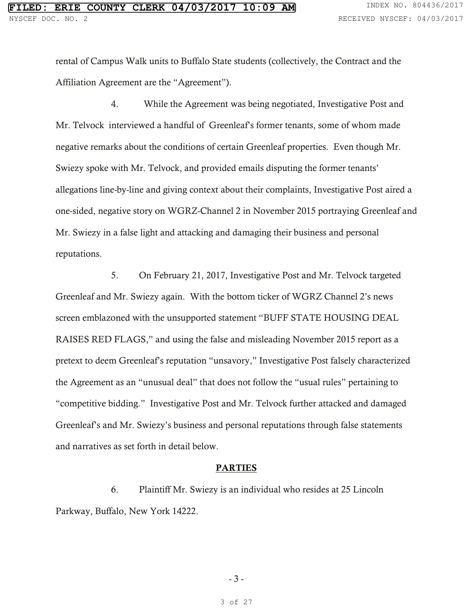rental of Campus Walk units to Buffalo State students (collectively, the Contract and the Affiliation Agreement are the "Agreement").

4. While the Agreement was being negotiated, Investigative Post and Mr. Telvock interviewed a handful of Greenleaf's former tenants, some of whom made negative remarks about the conditions of certain Greenleaf properties. Even though Mr. Swiezy spoke with Mr. Telvock, and provided emails disputing the former tenants' allegations line-by-line and giving context about their complaints, Investigative Post aired a one-sided, negative story on WGRZ-Channel 2 in November 2015 portraying Greenleaf and Mr. Swiezy in a false light and attacking and damaging their business and personal reputations.

5. On February 21, 2017, Investigative Post and Mr. Telvock targeted Greenleaf and Mr. Swiezy again. With the bottom ticker of WGRZ Channel 2's news screen emblazoned with the unsupported statement "BUFF STATE HOUSING DEAL RAISES RED FLAGS," and using the false and misleading November 2015 report as a pretext to deem Greenleaf's reputation "unsavory," Investigative Post falsely characterized the Agreement as an "unusual deal" that does not follow the "usual rules" pertaining to "competitive bidding." Investigative Post and Mr. Telvock further attacked and damaged Greenleaf's and Mr. Swiezy's business and personal reputations through false statements and narratives as set forth in detail below.

#### PARTIES

6. Plaintiff Mr. Swiezy is an individual who resides at 25 Lincoln Parkway, Buffalo, New York 14222.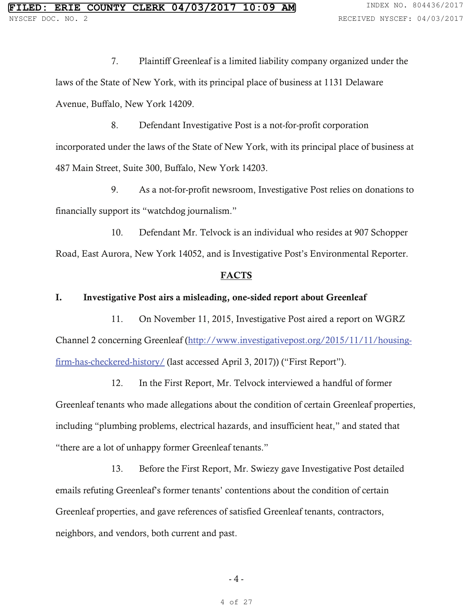7. Plaintiff Greenleaf is a limited liability company organized under the laws of the State of New York, with its principal place of business at 1131 Delaware Avenue, Buffalo, New York 14209.

8. Defendant Investigative Post is a not-for-profit corporation incorporated under the laws of the State of New York, with its principal place of business at 487 Main Street, Suite 300, Buffalo, New York 14203.

9. As a not-for-profit newsroom, Investigative Post relies on donations to financially support its "watchdog journalism."

10. Defendant Mr. Telvock is an individual who resides at 907 Schopper Road, East Aurora, New York 14052, and is Investigative Post's Environmental Reporter.

#### **FACTS**

### I. Investigative Post airs a misleading, one-sided report about Greenleaf

11. On November 11, 2015, Investigative Post aired a report on WGRZ Channel 2 concerning Greenleaf (http://www.investigativepost.org/2015/11/11/housingfirm-has-checkered-history/ (last accessed April 3, 2017)) ("First Report").

12. In the First Report, Mr. Telvock interviewed a handful of former Greenleaf tenants who made allegations about the condition of certain Greenleaf properties, including "plumbing problems, electrical hazards, and insufficient heat," and stated that "there are a lot of unhappy former Greenleaf tenants."

13. Before the First Report, Mr. Swiezy gave Investigative Post detailed emails refuting Greenleaf's former tenants' contentions about the condition of certain Greenleaf properties, and gave references of satisfied Greenleaf tenants, contractors, neighbors, and vendors, both current and past.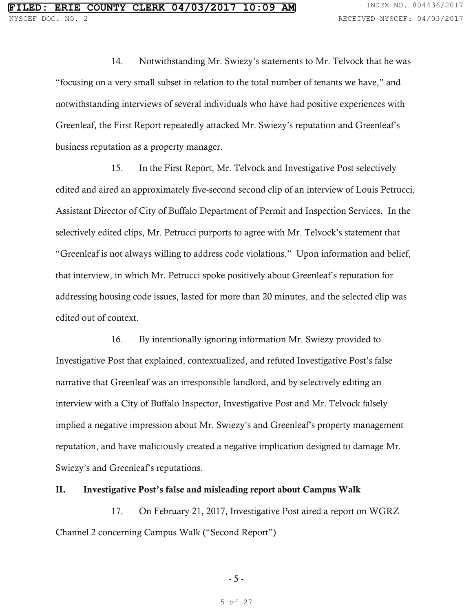14. Notwithstanding Mr. Swiezy's statements to Mr. Telvock that he was "focusing on a very small subset in relation to the total number of tenants we have," and notwithstanding interviews of several individuals who have had positive experiences with Greenleaf, the First Report repeatedly attacked Mr. Swiezy's reputation and Greenleaf's business reputation as a property manager.

15. In the First Report, Mr. Telvock and Investigative Post selectively edited and aired an approximately five-second second clip of an interview of Louis Petrucci, Assistant Director of City of Buffalo Department of Permit and Inspection Services. In the selectively edited clips, Mr. Petrucci purports to agree with Mr. Telvock's statement that "Greenleaf is not always willing to address code violations." Upon information and belief, that interview, in which Mr. Petrucci spoke positively about Greenleaf's reputation for addressing housing code issues, lasted for more than 20 minutes, and the selected clip was edited out of context.

16. By intentionally ignoring information Mr. Swiezy provided to Investigative Post that explained, contextualized, and refuted Investigative Post's false narrative that Greenleaf was an irresponsible landlord, and by selectively editing an interview with a City of Buffalo Inspector, Investigative Post and Mr. Telvock falsely implied a negative impression about Mr. Swiezy's and Greenleaf's property management reputation, and have maliciously created a negative implication designed to damage Mr. Swiezy's and Greenleaf's reputations.

### II. Investigative Post's false and misleading report about Campus Walk

17. On February 21, 2017, Investigative Post aired a report on WGRZ Channel 2 concerning Campus Walk ("Second Report")

- 5 -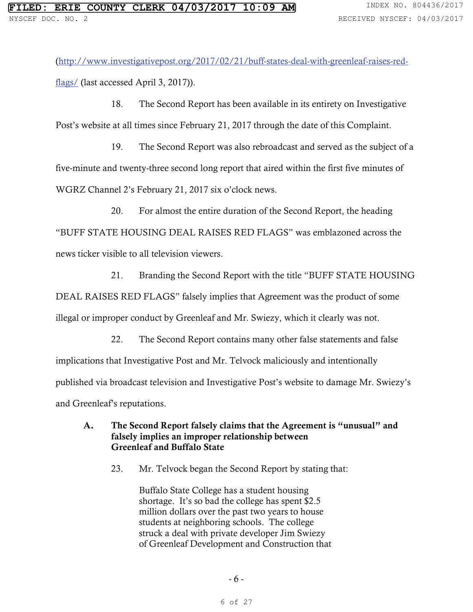(http://www.investigativepost.org/2017/02/21/buff-states-deal-with-greenleaf-raises-redflags/ (last accessed April 3, 2017)).

18. The Second Report has been available in its entirety on Investigative Post's website at all times since February 21, 2017 through the date of this Complaint.

19. The Second Report was also rebroadcast and served as the subject of a five-minute and twenty-three second long report that aired within the first five minutes of WGRZ Channel 2's February 21, 2017 six o'clock news.

20. For almost the entire duration of the Second Report, the heading "BUFF STATE HOUSING DEAL RAISES RED FLAGS" was emblazoned across the news ticker visible to all television viewers.

21. Branding the Second Report with the title "BUFF STATE HOUSING

DEAL RAISES RED FLAGS" falsely implies that Agreement was the product of some

illegal or improper conduct by Greenleaf and Mr. Swiezy, which it clearly was not.

22. The Second Report contains many other false statements and false implications that Investigative Post and Mr. Telvock maliciously and intentionally published via broadcast television and Investigative Post's website to damage Mr. Swiezy's and Greenleaf's reputations.

### A. The Second Report falsely claims that the Agreement is "unusual" and falsely implies an improper relationship between Greenleaf and Buffalo State

23. Mr. Telvock began the Second Report by stating that:

Buffalo State College has a student housing shortage. It's so bad the college has spent \$2.5 million dollars over the past two years to house students at neighboring schools. The college struck a deal with private developer Jim Swiezy of Greenleaf Development and Construction that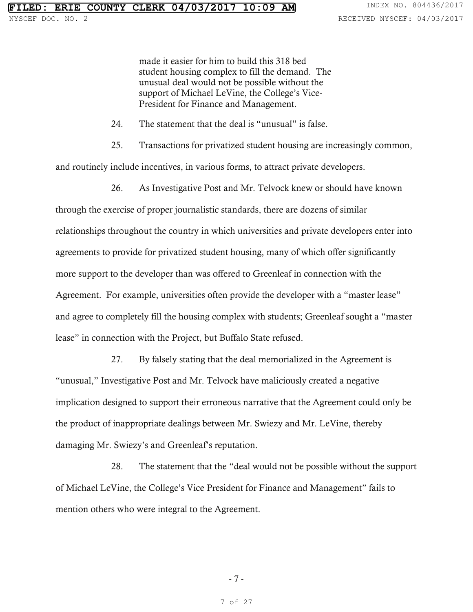made it easier for him to build this 318 bed student housing complex to fill the demand. The unusual deal would not be possible without the support of Michael LeVine, the College's Vice-President for Finance and Management.

24. The statement that the deal is "unusual" is false.

25. Transactions for privatized student housing are increasingly common,

and routinely include incentives, in various forms, to attract private developers.

26. As Investigative Post and Mr. Telvock knew or should have known through the exercise of proper journalistic standards, there are dozens of similar relationships throughout the country in which universities and private developers enter into agreements to provide for privatized student housing, many of which offer significantly more support to the developer than was offered to Greenleaf in connection with the Agreement. For example, universities often provide the developer with a "master lease" and agree to completely fill the housing complex with students; Greenleaf sought a "master lease" in connection with the Project, but Buffalo State refused.

27. By falsely stating that the deal memorialized in the Agreement is "unusual," Investigative Post and Mr. Telvock have maliciously created a negative implication designed to support their erroneous narrative that the Agreement could only be the product of inappropriate dealings between Mr. Swiezy and Mr. LeVine, thereby damaging Mr. Swiezy's and Greenleaf's reputation.

28. The statement that the "deal would not be possible without the support of Michael LeVine, the College's Vice President for Finance and Management" fails to mention others who were integral to the Agreement.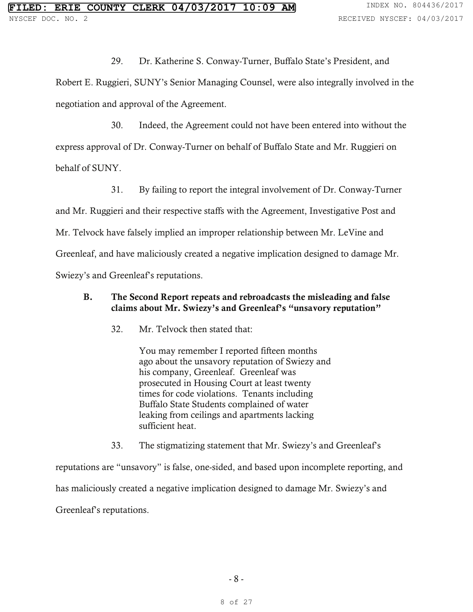29. Dr. Katherine S. Conway-Turner, Buffalo State's President, and Robert E. Ruggieri, SUNY's Senior Managing Counsel, were also integrally involved in the negotiation and approval of the Agreement.

30. Indeed, the Agreement could not have been entered into without the express approval of Dr. Conway-Turner on behalf of Buffalo State and Mr. Ruggieri on behalf of SUNY.

31. By failing to report the integral involvement of Dr. Conway-Turner and Mr. Ruggieri and their respective staffs with the Agreement, Investigative Post and Mr. Telvock have falsely implied an improper relationship between Mr. LeVine and Greenleaf, and have maliciously created a negative implication designed to damage Mr. Swiezy's and Greenleaf's reputations.

### B. The Second Report repeats and rebroadcasts the misleading and false claims about Mr. Swiezy's and Greenleaf's "unsavory reputation"

32. Mr. Telvock then stated that:

You may remember I reported fifteen months ago about the unsavory reputation of Swiezy and his company, Greenleaf. Greenleaf was prosecuted in Housing Court at least twenty times for code violations. Tenants including Buffalo State Students complained of water leaking from ceilings and apartments lacking sufficient heat.

33. The stigmatizing statement that Mr. Swiezy's and Greenleaf's

reputations are "unsavory" is false, one-sided, and based upon incomplete reporting, and has maliciously created a negative implication designed to damage Mr. Swiezy's and Greenleaf's reputations.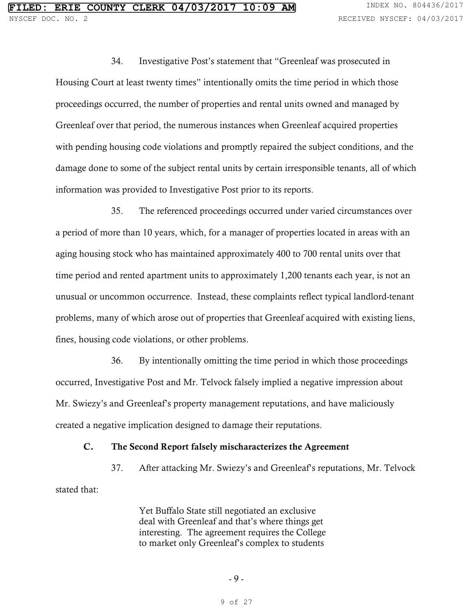34. Investigative Post's statement that "Greenleaf was prosecuted in Housing Court at least twenty times" intentionally omits the time period in which those proceedings occurred, the number of properties and rental units owned and managed by Greenleaf over that period, the numerous instances when Greenleaf acquired properties with pending housing code violations and promptly repaired the subject conditions, and the damage done to some of the subject rental units by certain irresponsible tenants, all of which information was provided to Investigative Post prior to its reports.

35. The referenced proceedings occurred under varied circumstances over a period of more than 10 years, which, for a manager of properties located in areas with an aging housing stock who has maintained approximately 400 to 700 rental units over that time period and rented apartment units to approximately 1,200 tenants each year, is not an unusual or uncommon occurrence. Instead, these complaints reflect typical landlord-tenant problems, many of which arose out of properties that Greenleaf acquired with existing liens, fines, housing code violations, or other problems.

36. By intentionally omitting the time period in which those proceedings occurred, Investigative Post and Mr. Telvock falsely implied a negative impression about Mr. Swiezy's and Greenleaf's property management reputations, and have maliciously created a negative implication designed to damage their reputations.

### C. The Second Report falsely mischaracterizes the Agreement

37. After attacking Mr. Swiezy's and Greenleaf's reputations, Mr. Telvock stated that:

> Yet Buffalo State still negotiated an exclusive deal with Greenleaf and that's where things get interesting. The agreement requires the College to market only Greenleaf's complex to students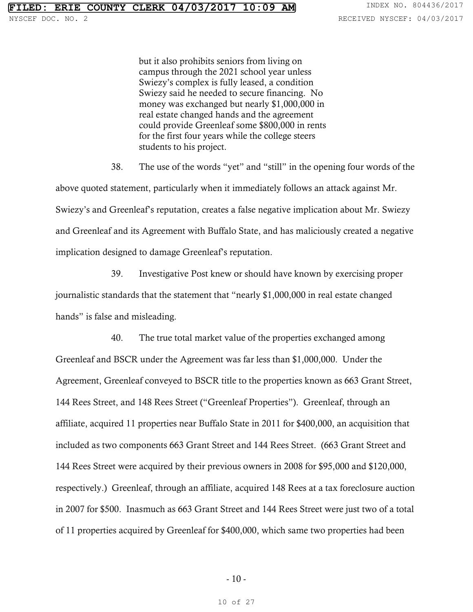NYSCEF DOC. NO. 2 **RECEIVED NYSCEF: 04/03/2017** 

but it also prohibits seniors from living on campus through the 2021 school year unless Swiezy's complex is fully leased, a condition Swiezy said he needed to secure financing. No money was exchanged but nearly \$1,000,000 in real estate changed hands and the agreement could provide Greenleaf some \$800,000 in rents for the first four years while the college steers students to his project.

38. The use of the words "yet" and "still" in the opening four words of the above quoted statement, particularly when it immediately follows an attack against Mr. Swiezy's and Greenleaf's reputation, creates a false negative implication about Mr. Swiezy and Greenleaf and its Agreement with Buffalo State, and has maliciously created a negative implication designed to damage Greenleaf's reputation.

39. Investigative Post knew or should have known by exercising proper journalistic standards that the statement that "nearly \$1,000,000 in real estate changed hands" is false and misleading.

40. The true total market value of the properties exchanged among Greenleaf and BSCR under the Agreement was far less than \$1,000,000. Under the Agreement, Greenleaf conveyed to BSCR title to the properties known as 663 Grant Street, 144 Rees Street, and 148 Rees Street ("Greenleaf Properties"). Greenleaf, through an affiliate, acquired 11 properties near Buffalo State in 2011 for \$400,000, an acquisition that included as two components 663 Grant Street and 144 Rees Street. (663 Grant Street and 144 Rees Street were acquired by their previous owners in 2008 for \$95,000 and \$120,000, respectively.) Greenleaf, through an affiliate, acquired 148 Rees at a tax foreclosure auction in 2007 for \$500. Inasmuch as 663 Grant Street and 144 Rees Street were just two of a total of 11 properties acquired by Greenleaf for \$400,000, which same two properties had been

10 of 27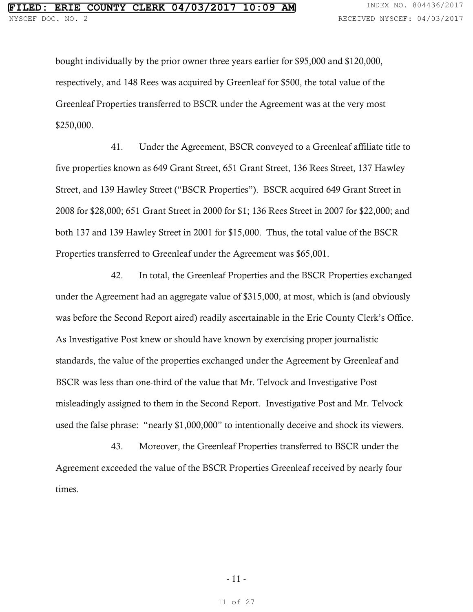bought individually by the prior owner three years earlier for \$95,000 and \$120,000, respectively, and 148 Rees was acquired by Greenleaf for \$500, the total value of the Greenleaf Properties transferred to BSCR under the Agreement was at the very most \$250,000.

41. Under the Agreement, BSCR conveyed to a Greenleaf affiliate title to five properties known as 649 Grant Street, 651 Grant Street, 136 Rees Street, 137 Hawley Street, and 139 Hawley Street ("BSCR Properties"). BSCR acquired 649 Grant Street in 2008 for \$28,000; 651 Grant Street in 2000 for \$1; 136 Rees Street in 2007 for \$22,000; and both 137 and 139 Hawley Street in 2001 for \$15,000. Thus, the total value of the BSCR Properties transferred to Greenleaf under the Agreement was \$65,001.

42. In total, the Greenleaf Properties and the BSCR Properties exchanged under the Agreement had an aggregate value of \$315,000, at most, which is (and obviously was before the Second Report aired) readily ascertainable in the Erie County Clerk's Office. As Investigative Post knew or should have known by exercising proper journalistic standards, the value of the properties exchanged under the Agreement by Greenleaf and BSCR was less than one-third of the value that Mr. Telvock and Investigative Post misleadingly assigned to them in the Second Report. Investigative Post and Mr. Telvock used the false phrase: "nearly \$1,000,000" to intentionally deceive and shock its viewers.

43. Moreover, the Greenleaf Properties transferred to BSCR under the Agreement exceeded the value of the BSCR Properties Greenleaf received by nearly four times.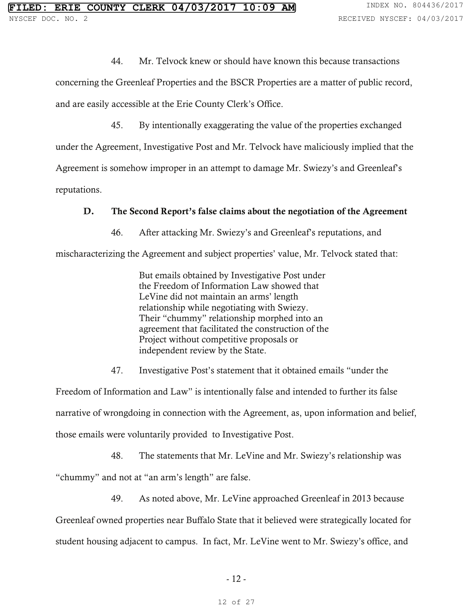44. Mr. Telvock knew or should have known this because transactions

concerning the Greenleaf Properties and the BSCR Properties are a matter of public record, and are easily accessible at the Erie County Clerk's Office.

45. By intentionally exaggerating the value of the properties exchanged under the Agreement, Investigative Post and Mr. Telvock have maliciously implied that the Agreement is somehow improper in an attempt to damage Mr. Swiezy's and Greenleaf's reputations.

### D. The Second Report's false claims about the negotiation of the Agreement

46. After attacking Mr. Swiezy's and Greenleaf's reputations, and

mischaracterizing the Agreement and subject properties' value, Mr. Telvock stated that:

But emails obtained by Investigative Post under the Freedom of Information Law showed that LeVine did not maintain an arms' length relationship while negotiating with Swiezy. Their "chummy" relationship morphed into an agreement that facilitated the construction of the Project without competitive proposals or independent review by the State.

47. Investigative Post's statement that it obtained emails "under the

Freedom of Information and Law" is intentionally false and intended to further its false narrative of wrongdoing in connection with the Agreement, as, upon information and belief, those emails were voluntarily provided to Investigative Post.

48. The statements that Mr. LeVine and Mr. Swiezy's relationship was

"chummy" and not at "an arm's length" are false.

49. As noted above, Mr. LeVine approached Greenleaf in 2013 because

Greenleaf owned properties near Buffalo State that it believed were strategically located for student housing adjacent to campus. In fact, Mr. LeVine went to Mr. Swiezy's office, and

- 12 -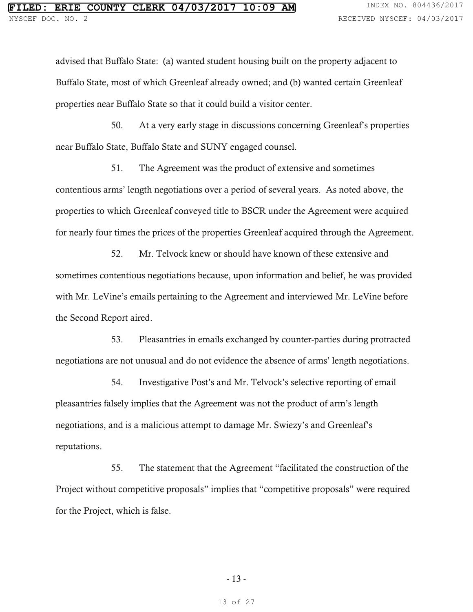advised that Buffalo State: (a) wanted student housing built on the property adjacent to Buffalo State, most of which Greenleaf already owned; and (b) wanted certain Greenleaf properties near Buffalo State so that it could build a visitor center.

50. At a very early stage in discussions concerning Greenleaf's properties near Buffalo State, Buffalo State and SUNY engaged counsel.

51. The Agreement was the product of extensive and sometimes contentious arms' length negotiations over a period of several years. As noted above, the properties to which Greenleaf conveyed title to BSCR under the Agreement were acquired for nearly four times the prices of the properties Greenleaf acquired through the Agreement.

52. Mr. Telvock knew or should have known of these extensive and sometimes contentious negotiations because, upon information and belief, he was provided with Mr. LeVine's emails pertaining to the Agreement and interviewed Mr. LeVine before the Second Report aired.

53. Pleasantries in emails exchanged by counter-parties during protracted negotiations are not unusual and do not evidence the absence of arms' length negotiations.

54. Investigative Post's and Mr. Telvock's selective reporting of email pleasantries falsely implies that the Agreement was not the product of arm's length negotiations, and is a malicious attempt to damage Mr. Swiezy's and Greenleaf's reputations.

55. The statement that the Agreement "facilitated the construction of the Project without competitive proposals" implies that "competitive proposals" were required for the Project, which is false.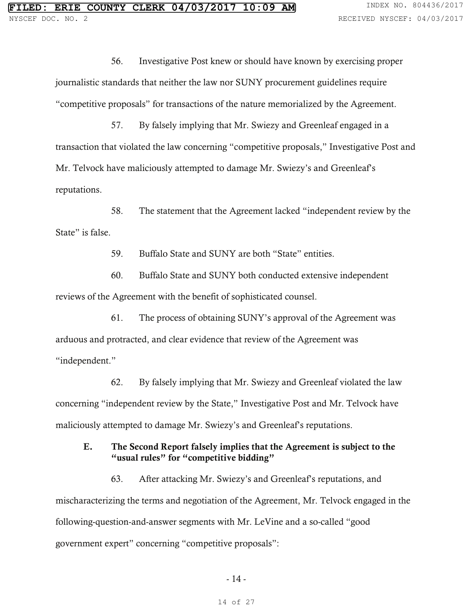56. Investigative Post knew or should have known by exercising proper journalistic standards that neither the law nor SUNY procurement guidelines require "competitive proposals" for transactions of the nature memorialized by the Agreement.

57. By falsely implying that Mr. Swiezy and Greenleaf engaged in a transaction that violated the law concerning "competitive proposals," Investigative Post and Mr. Telvock have maliciously attempted to damage Mr. Swiezy's and Greenleaf's reputations.

58. The statement that the Agreement lacked "independent review by the State" is false.

59. Buffalo State and SUNY are both "State" entities.

60. Buffalo State and SUNY both conducted extensive independent reviews of the Agreement with the benefit of sophisticated counsel.

61. The process of obtaining SUNY's approval of the Agreement was arduous and protracted, and clear evidence that review of the Agreement was "independent."

62. By falsely implying that Mr. Swiezy and Greenleaf violated the law concerning "independent review by the State," Investigative Post and Mr. Telvock have maliciously attempted to damage Mr. Swiezy's and Greenleaf's reputations.

## E. The Second Report falsely implies that the Agreement is subject to the "usual rules" for "competitive bidding"

63. After attacking Mr. Swiezy's and Greenleaf's reputations, and mischaracterizing the terms and negotiation of the Agreement, Mr. Telvock engaged in the following-question-and-answer segments with Mr. LeVine and a so-called "good government expert" concerning "competitive proposals":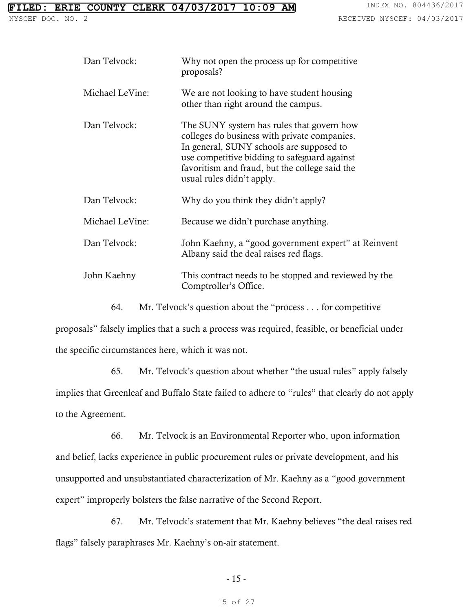| Dan Telvock:    | Why not open the process up for competitive<br>proposals?                                                                                                                                                                                                            |
|-----------------|----------------------------------------------------------------------------------------------------------------------------------------------------------------------------------------------------------------------------------------------------------------------|
| Michael LeVine: | We are not looking to have student housing<br>other than right around the campus.                                                                                                                                                                                    |
| Dan Telvock:    | The SUNY system has rules that govern how<br>colleges do business with private companies.<br>In general, SUNY schools are supposed to<br>use competitive bidding to safeguard against<br>favoritism and fraud, but the college said the<br>usual rules didn't apply. |
| Dan Telvock:    | Why do you think they didn't apply?                                                                                                                                                                                                                                  |
| Michael LeVine: | Because we didn't purchase anything.                                                                                                                                                                                                                                 |
| Dan Telvock:    | John Kaehny, a "good government expert" at Reinvent<br>Albany said the deal raises red flags.                                                                                                                                                                        |
| John Kaehny     | This contract needs to be stopped and reviewed by the<br>Comptroller's Office.                                                                                                                                                                                       |

64. Mr. Telvock's question about the "process . . . for competitive

proposals" falsely implies that a such a process was required, feasible, or beneficial under the specific circumstances here, which it was not.

65. Mr. Telvock's question about whether "the usual rules" apply falsely implies that Greenleaf and Buffalo State failed to adhere to "rules" that clearly do not apply to the Agreement.

66. Mr. Telvock is an Environmental Reporter who, upon information and belief, lacks experience in public procurement rules or private development, and his unsupported and unsubstantiated characterization of Mr. Kaehny as a "good government expert" improperly bolsters the false narrative of the Second Report.

67. Mr. Telvock's statement that Mr. Kaehny believes "the deal raises red flags" falsely paraphrases Mr. Kaehny's on-air statement.

- 15 -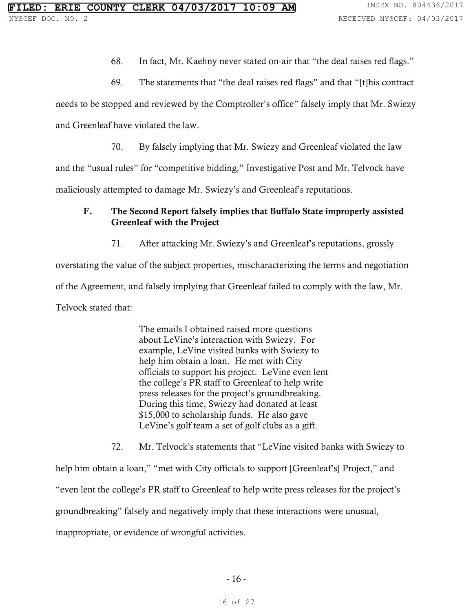- 68. In fact, Mr. Kaehny never stated on-air that "the deal raises red flags."
- 69. The statements that "the deal raises red flags" and that "[t]his contract

needs to be stopped and reviewed by the Comptroller's office" falsely imply that Mr. Swiezy

and Greenleaf have violated the law.

70. By falsely implying that Mr. Swiezy and Greenleaf violated the law

and the "usual rules" for "competitive bidding," Investigative Post and Mr. Telvock have

maliciously attempted to damage Mr. Swiezy's and Greenleaf's reputations.

# F. The Second Report falsely implies that Buffalo State improperly assisted Greenleaf with the Project

71. After attacking Mr. Swiezy's and Greenleaf's reputations, grossly

overstating the value of the subject properties, mischaracterizing the terms and negotiation of the Agreement, and falsely implying that Greenleaf failed to comply with the law, Mr. Telvock stated that:

> The emails I obtained raised more questions about LeVine's interaction with Swiezy. For example, LeVine visited banks with Swiezy to help him obtain a loan. He met with City officials to support his project. LeVine even lent the college's PR staff to Greenleaf to help write press releases for the project's groundbreaking. During this time, Swiezy had donated at least \$15,000 to scholarship funds. He also gave LeVine's golf team a set of golf clubs as a gift.

72. Mr. Telvock's statements that "LeVine visited banks with Swiezy to

help him obtain a loan," "met with City officials to support [Greenleaf's] Project," and "even lent the college's PR staff to Greenleaf to help write press releases for the project's groundbreaking" falsely and negatively imply that these interactions were unusual, inappropriate, or evidence of wrongful activities.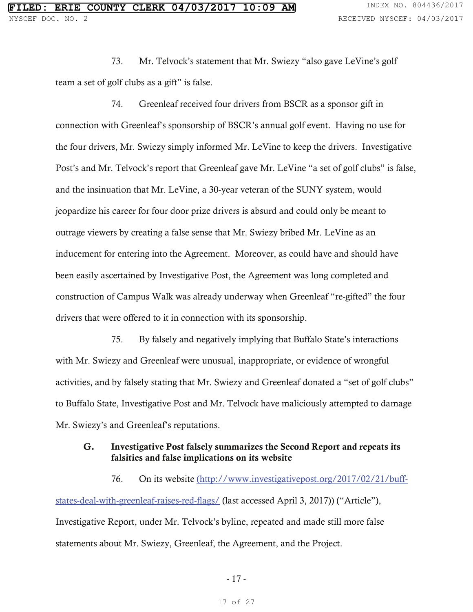73. Mr. Telvock's statement that Mr. Swiezy "also gave LeVine's golf team a set of golf clubs as a gift" is false.

74. Greenleaf received four drivers from BSCR as a sponsor gift in connection with Greenleaf's sponsorship of BSCR's annual golf event. Having no use for the four drivers, Mr. Swiezy simply informed Mr. LeVine to keep the drivers. Investigative Post's and Mr. Telvock's report that Greenleaf gave Mr. LeVine "a set of golf clubs" is false, and the insinuation that Mr. LeVine, a 30-year veteran of the SUNY system, would jeopardize his career for four door prize drivers is absurd and could only be meant to outrage viewers by creating a false sense that Mr. Swiezy bribed Mr. LeVine as an inducement for entering into the Agreement. Moreover, as could have and should have been easily ascertained by Investigative Post, the Agreement was long completed and construction of Campus Walk was already underway when Greenleaf "re-gifted" the four drivers that were offered to it in connection with its sponsorship.

75. By falsely and negatively implying that Buffalo State's interactions with Mr. Swiezy and Greenleaf were unusual, inappropriate, or evidence of wrongful activities, and by falsely stating that Mr. Swiezy and Greenleaf donated a "set of golf clubs" to Buffalo State, Investigative Post and Mr. Telvock have maliciously attempted to damage Mr. Swiezy's and Greenleaf's reputations.

### G. Investigative Post falsely summarizes the Second Report and repeats its falsities and false implications on its website

76. On its website (http://www.investigativepost.org/2017/02/21/buffstates-deal-with-greenleaf-raises-red-flags/ (last accessed April 3, 2017)) ("Article"), Investigative Report, under Mr. Telvock's byline, repeated and made still more false statements about Mr. Swiezy, Greenleaf, the Agreement, and the Project.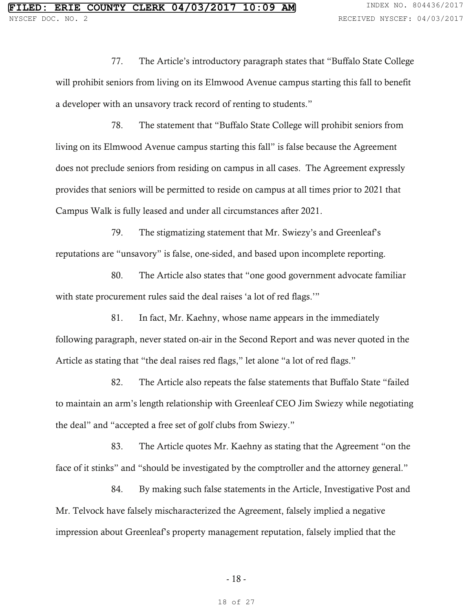77. The Article's introductory paragraph states that "Buffalo State College will prohibit seniors from living on its Elmwood Avenue campus starting this fall to benefit a developer with an unsavory track record of renting to students."

78. The statement that "Buffalo State College will prohibit seniors from living on its Elmwood Avenue campus starting this fall" is false because the Agreement does not preclude seniors from residing on campus in all cases. The Agreement expressly provides that seniors will be permitted to reside on campus at all times prior to 2021 that Campus Walk is fully leased and under all circumstances after 2021.

79. The stigmatizing statement that Mr. Swiezy's and Greenleaf's reputations are "unsavory" is false, one-sided, and based upon incomplete reporting.

80. The Article also states that "one good government advocate familiar with state procurement rules said the deal raises 'a lot of red flags.'"

81. In fact, Mr. Kaehny, whose name appears in the immediately following paragraph, never stated on-air in the Second Report and was never quoted in the Article as stating that "the deal raises red flags," let alone "a lot of red flags."

82. The Article also repeats the false statements that Buffalo State "failed to maintain an arm's length relationship with Greenleaf CEO Jim Swiezy while negotiating the deal" and "accepted a free set of golf clubs from Swiezy."

83. The Article quotes Mr. Kaehny as stating that the Agreement "on the face of it stinks" and "should be investigated by the comptroller and the attorney general."

84. By making such false statements in the Article, Investigative Post and Mr. Telvock have falsely mischaracterized the Agreement, falsely implied a negative impression about Greenleaf's property management reputation, falsely implied that the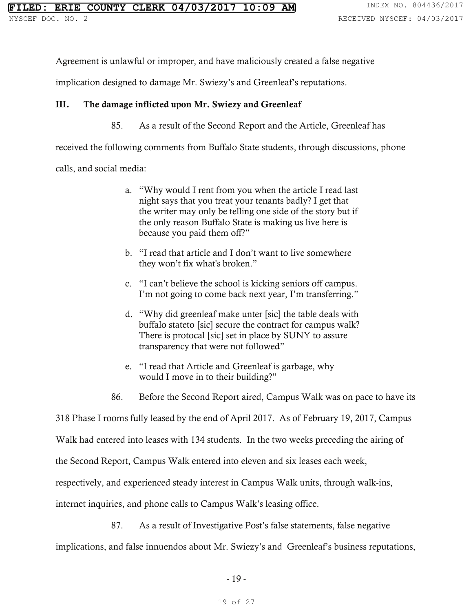Agreement is unlawful or improper, and have maliciously created a false negative

implication designed to damage Mr. Swiezy's and Greenleaf's reputations.

### III. The damage inflicted upon Mr. Swiezy and Greenleaf

85. As a result of the Second Report and the Article, Greenleaf has

received the following comments from Buffalo State students, through discussions, phone

calls, and social media:

- a. "Why would I rent from you when the article I read last night says that you treat your tenants badly? I get that the writer may only be telling one side of the story but if the only reason Buffalo State is making us live here is because you paid them off?"
- b. "I read that article and I don't want to live somewhere they won't fix what's broken."
- c. "I can't believe the school is kicking seniors off campus. I'm not going to come back next year, I'm transferring."
- d. "Why did greenleaf make unter [sic] the table deals with buffalo stateto [sic] secure the contract for campus walk? There is protocal [sic] set in place by SUNY to assure transparency that were not followed"
- e. "I read that Article and Greenleaf is garbage, why would I move in to their building?"
- 86. Before the Second Report aired, Campus Walk was on pace to have its

318 Phase I rooms fully leased by the end of April 2017. As of February 19, 2017, Campus

Walk had entered into leases with 134 students. In the two weeks preceding the airing of

the Second Report, Campus Walk entered into eleven and six leases each week,

respectively, and experienced steady interest in Campus Walk units, through walk-ins,

internet inquiries, and phone calls to Campus Walk's leasing office.

87. As a result of Investigative Post's false statements, false negative

implications, and false innuendos about Mr. Swiezy's and Greenleaf's business reputations,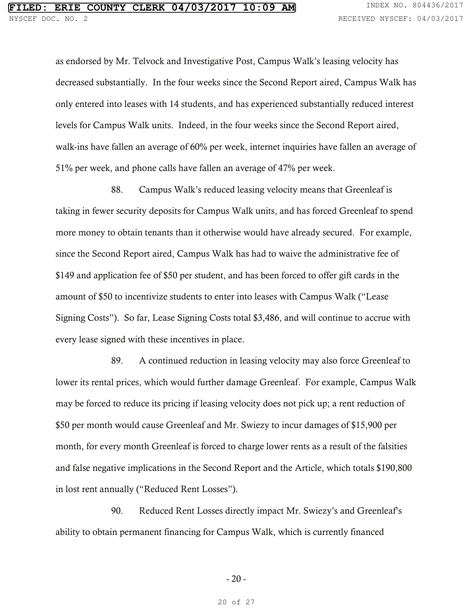as endorsed by Mr. Telvock and Investigative Post, Campus Walk's leasing velocity has decreased substantially. In the four weeks since the Second Report aired, Campus Walk has only entered into leases with 14 students, and has experienced substantially reduced interest levels for Campus Walk units. Indeed, in the four weeks since the Second Report aired, walk-ins have fallen an average of 60% per week, internet inquiries have fallen an average of 51% per week, and phone calls have fallen an average of 47% per week.

88. Campus Walk's reduced leasing velocity means that Greenleaf is taking in fewer security deposits for Campus Walk units, and has forced Greenleaf to spend more money to obtain tenants than it otherwise would have already secured. For example, since the Second Report aired, Campus Walk has had to waive the administrative fee of \$149 and application fee of \$50 per student, and has been forced to offer gift cards in the amount of \$50 to incentivize students to enter into leases with Campus Walk ("Lease Signing Costs"). So far, Lease Signing Costs total \$3,486, and will continue to accrue with every lease signed with these incentives in place.

89. A continued reduction in leasing velocity may also force Greenleaf to lower its rental prices, which would further damage Greenleaf. For example, Campus Walk may be forced to reduce its pricing if leasing velocity does not pick up; a rent reduction of \$50 per month would cause Greenleaf and Mr. Swiezy to incur damages of \$15,900 per month, for every month Greenleaf is forced to charge lower rents as a result of the falsities and false negative implications in the Second Report and the Article, which totals \$190,800 in lost rent annually ("Reduced Rent Losses").

90. Reduced Rent Losses directly impact Mr. Swiezy's and Greenleaf's ability to obtain permanent financing for Campus Walk, which is currently financed

- 20 -

20 of 27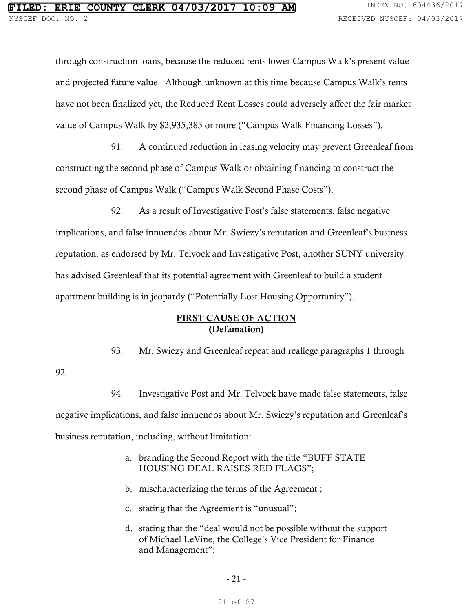92.

through construction loans, because the reduced rents lower Campus Walk's present value and projected future value. Although unknown at this time because Campus Walk's rents have not been finalized yet, the Reduced Rent Losses could adversely affect the fair market value of Campus Walk by \$2,935,385 or more ("Campus Walk Financing Losses").

91. A continued reduction in leasing velocity may prevent Greenleaf from constructing the second phase of Campus Walk or obtaining financing to construct the second phase of Campus Walk ("Campus Walk Second Phase Costs").

92. As a result of Investigative Post's false statements, false negative implications, and false innuendos about Mr. Swiezy's reputation and Greenleaf's business reputation, as endorsed by Mr. Telvock and Investigative Post, another SUNY university has advised Greenleaf that its potential agreement with Greenleaf to build a student apartment building is in jeopardy ("Potentially Lost Housing Opportunity").

### FIRST CAUSE OF ACTION (Defamation)

93. Mr. Swiezy and Greenleaf repeat and reallege paragraphs 1 through

94. Investigative Post and Mr. Telvock have made false statements, false negative implications, and false innuendos about Mr. Swiezy's reputation and Greenleaf's business reputation, including, without limitation:

- a. branding the Second Report with the title "BUFF STATE HOUSING DEAL RAISES RED FLAGS";
- b. mischaracterizing the terms of the Agreement ;
- c. stating that the Agreement is "unusual";
- d. stating that the "deal would not be possible without the support of Michael LeVine, the College's Vice President for Finance and Management";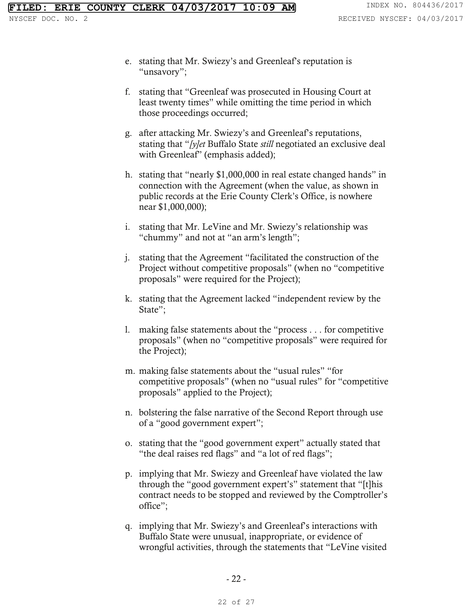- e. stating that Mr. Swiezy's and Greenleaf's reputation is "unsavory";
- f. stating that "Greenleaf was prosecuted in Housing Court at least twenty times" while omitting the time period in which those proceedings occurred;
- g. after attacking Mr. Swiezy's and Greenleaf's reputations, stating that "*[y]et* Buffalo State *still* negotiated an exclusive deal with Greenleaf" (emphasis added);
- h. stating that "nearly \$1,000,000 in real estate changed hands" in connection with the Agreement (when the value, as shown in public records at the Erie County Clerk's Office, is nowhere near \$1,000,000);
- i. stating that Mr. LeVine and Mr. Swiezy's relationship was "chummy" and not at "an arm's length";
- j. stating that the Agreement "facilitated the construction of the Project without competitive proposals" (when no "competitive proposals" were required for the Project);
- k. stating that the Agreement lacked "independent review by the State";
- l. making false statements about the "process . . . for competitive proposals" (when no "competitive proposals" were required for the Project);
- m. making false statements about the "usual rules" "for competitive proposals" (when no "usual rules" for "competitive proposals" applied to the Project);
- n. bolstering the false narrative of the Second Report through use of a "good government expert";
- o. stating that the "good government expert" actually stated that "the deal raises red flags" and "a lot of red flags";
- p. implying that Mr. Swiezy and Greenleaf have violated the law through the "good government expert's" statement that "[t]his contract needs to be stopped and reviewed by the Comptroller's office";
- q. implying that Mr. Swiezy's and Greenleaf's interactions with Buffalo State were unusual, inappropriate, or evidence of wrongful activities, through the statements that "LeVine visited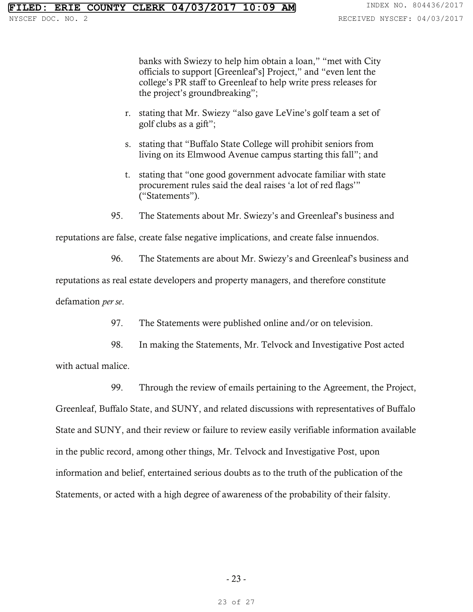banks with Swiezy to help him obtain a loan," "met with City officials to support [Greenleaf's] Project," and "even lent the college's PR staff to Greenleaf to help write press releases for the project's groundbreaking";

- r. stating that Mr. Swiezy "also gave LeVine's golf team a set of golf clubs as a gift";
- s. stating that "Buffalo State College will prohibit seniors from living on its Elmwood Avenue campus starting this fall"; and
- t. stating that "one good government advocate familiar with state procurement rules said the deal raises 'a lot of red flags'" ("Statements").
- 95. The Statements about Mr. Swiezy's and Greenleaf's business and

reputations are false, create false negative implications, and create false innuendos.

96. The Statements are about Mr. Swiezy's and Greenleaf's business and

reputations as real estate developers and property managers, and therefore constitute

defamation *per se*.

97. The Statements were published online and/or on television.

98. In making the Statements, Mr. Telvock and Investigative Post acted with actual malice.

99. Through the review of emails pertaining to the Agreement, the Project, Greenleaf, Buffalo State, and SUNY, and related discussions with representatives of Buffalo State and SUNY, and their review or failure to review easily verifiable information available in the public record, among other things, Mr. Telvock and Investigative Post, upon information and belief, entertained serious doubts as to the truth of the publication of the

Statements, or acted with a high degree of awareness of the probability of their falsity.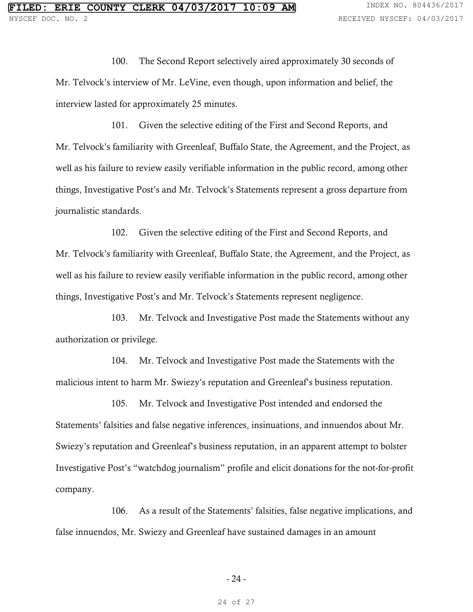100. The Second Report selectively aired approximately 30 seconds of Mr. Telvock's interview of Mr. LeVine, even though, upon information and belief, the interview lasted for approximately 25 minutes.

101. Given the selective editing of the First and Second Reports, and Mr. Telvock's familiarity with Greenleaf, Buffalo State, the Agreement, and the Project, as well as his failure to review easily verifiable information in the public record, among other things, Investigative Post's and Mr. Telvock's Statements represent a gross departure from journalistic standards.

102. Given the selective editing of the First and Second Reports, and Mr. Telvock's familiarity with Greenleaf, Buffalo State, the Agreement, and the Project, as well as his failure to review easily verifiable information in the public record, among other things, Investigative Post's and Mr. Telvock's Statements represent negligence.

103. Mr. Telvock and Investigative Post made the Statements without any authorization or privilege.

104. Mr. Telvock and Investigative Post made the Statements with the malicious intent to harm Mr. Swiezy's reputation and Greenleaf's business reputation.

105. Mr. Telvock and Investigative Post intended and endorsed the Statements' falsities and false negative inferences, insinuations, and innuendos about Mr. Swiezy's reputation and Greenleaf's business reputation, in an apparent attempt to bolster Investigative Post's "watchdog journalism" profile and elicit donations for the not-for-profit company.

106. As a result of the Statements' falsities, false negative implications, and false innuendos, Mr. Swiezy and Greenleaf have sustained damages in an amount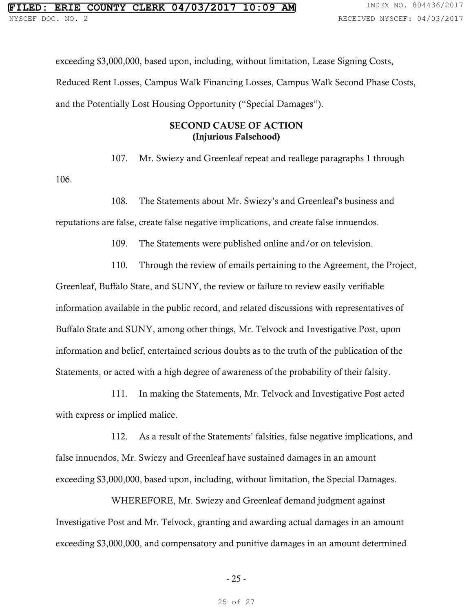exceeding \$3,000,000, based upon, including, without limitation, Lease Signing Costs, Reduced Rent Losses, Campus Walk Financing Losses, Campus Walk Second Phase Costs, and the Potentially Lost Housing Opportunity ("Special Damages").

### SECOND CAUSE OF ACTION (Injurious Falsehood)

107. Mr. Swiezy and Greenleaf repeat and reallege paragraphs 1 through

106.

108. The Statements about Mr. Swiezy's and Greenleaf's business and

reputations are false, create false negative implications, and create false innuendos.

109. The Statements were published online and/or on television.

110. Through the review of emails pertaining to the Agreement, the Project,

Greenleaf, Buffalo State, and SUNY, the review or failure to review easily verifiable information available in the public record, and related discussions with representatives of Buffalo State and SUNY, among other things, Mr. Telvock and Investigative Post, upon information and belief, entertained serious doubts as to the truth of the publication of the Statements, or acted with a high degree of awareness of the probability of their falsity.

111. In making the Statements, Mr. Telvock and Investigative Post acted with express or implied malice.

112. As a result of the Statements' falsities, false negative implications, and false innuendos, Mr. Swiezy and Greenleaf have sustained damages in an amount exceeding \$3,000,000, based upon, including, without limitation, the Special Damages.

 WHEREFORE, Mr. Swiezy and Greenleaf demand judgment against Investigative Post and Mr. Telvock, granting and awarding actual damages in an amount exceeding \$3,000,000, and compensatory and punitive damages in an amount determined

- 25 -

25 of 27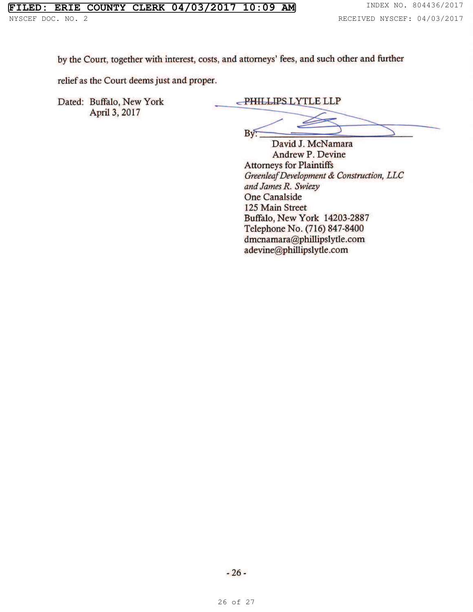by the Court, together with interest, costs, and attorneys' fees, and such other and further

relief as the Court deems just and proper.

Dated: Buffalo, New York April 3, 2017

PHILLIPS LYTLE LLP

Bv.

David J. McNamara **Andrew P. Devine Attorneys for Plaintiffs** Greenleaf Development & Construction, LLC and James R. Swiezy **One Canalside** 125 Main Street Buffalo, New York 14203-2887 Telephone No. (716) 847-8400 dmcnamara@phillipslytle.com adevine@phillipslytle.com

 $-26-$